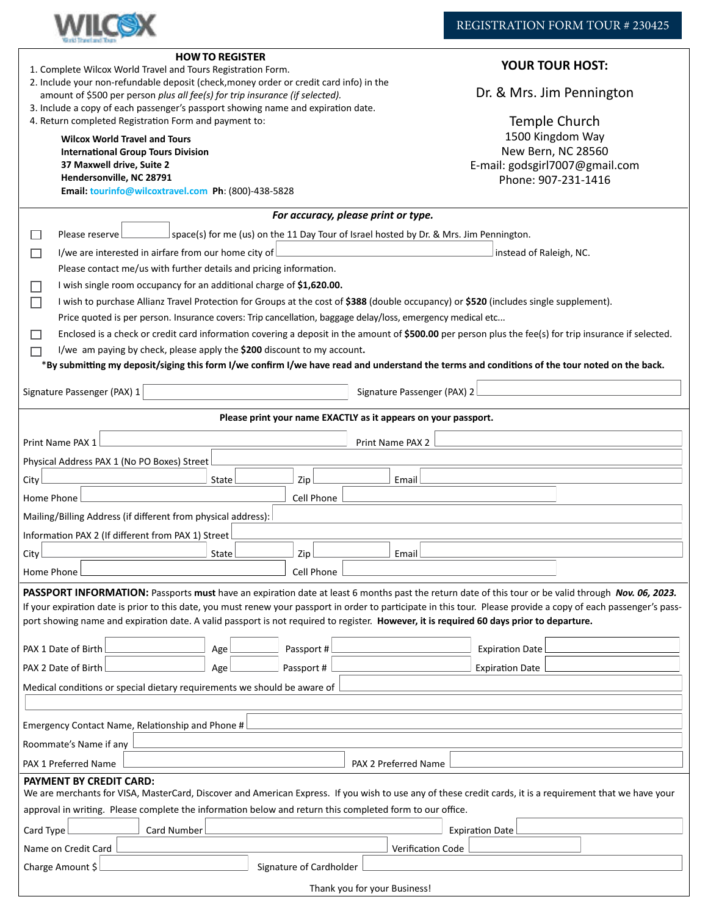

| <b>HOW TO REGISTER</b><br>1. Complete Wilcox World Travel and Tours Registration Form.<br>2. Include your non-refundable deposit (check, money order or credit card info) in the<br>amount of \$500 per person plus all fee(s) for trip insurance (if selected).<br>3. Include a copy of each passenger's passport showing name and expiration date.<br>4. Return completed Registration Form and payment to:<br><b>Wilcox World Travel and Tours</b><br><b>International Group Tours Division</b><br>37 Maxwell drive, Suite 2<br>Hendersonville, NC 28791 | <b>YOUR TOUR HOST:</b><br>Dr. & Mrs. Jim Pennington<br>Temple Church<br>1500 Kingdom Way<br>New Bern, NC 28560<br>E-mail: godsgirl7007@gmail.com<br>Phone: 907-231-1416                                                                                                                                                                                                      |
|-------------------------------------------------------------------------------------------------------------------------------------------------------------------------------------------------------------------------------------------------------------------------------------------------------------------------------------------------------------------------------------------------------------------------------------------------------------------------------------------------------------------------------------------------------------|------------------------------------------------------------------------------------------------------------------------------------------------------------------------------------------------------------------------------------------------------------------------------------------------------------------------------------------------------------------------------|
| Email: tourinfo@wilcoxtravel.com Ph: (800)-438-5828                                                                                                                                                                                                                                                                                                                                                                                                                                                                                                         |                                                                                                                                                                                                                                                                                                                                                                              |
| For accuracy, please print or type.                                                                                                                                                                                                                                                                                                                                                                                                                                                                                                                         |                                                                                                                                                                                                                                                                                                                                                                              |
| Please reserve                                                                                                                                                                                                                                                                                                                                                                                                                                                                                                                                              | space(s) for me (us) on the 11 Day Tour of Israel hosted by Dr. & Mrs. Jim Pennington.                                                                                                                                                                                                                                                                                       |
| I/we are interested in airfare from our home city of<br>П                                                                                                                                                                                                                                                                                                                                                                                                                                                                                                   | instead of Raleigh, NC.                                                                                                                                                                                                                                                                                                                                                      |
| Please contact me/us with further details and pricing information.<br>I wish single room occupancy for an additional charge of \$1,620.00.                                                                                                                                                                                                                                                                                                                                                                                                                  |                                                                                                                                                                                                                                                                                                                                                                              |
| П<br>I wish to purchase Allianz Travel Protection for Groups at the cost of \$388 (double occupancy) or \$520 (includes single supplement).                                                                                                                                                                                                                                                                                                                                                                                                                 |                                                                                                                                                                                                                                                                                                                                                                              |
| Price quoted is per person. Insurance covers: Trip cancellation, baggage delay/loss, emergency medical etc                                                                                                                                                                                                                                                                                                                                                                                                                                                  |                                                                                                                                                                                                                                                                                                                                                                              |
| Enclosed is a check or credit card information covering a deposit in the amount of \$500.00 per person plus the fee(s) for trip insurance if selected.<br>$\sim$                                                                                                                                                                                                                                                                                                                                                                                            |                                                                                                                                                                                                                                                                                                                                                                              |
| I/we am paying by check, please apply the \$200 discount to my account.                                                                                                                                                                                                                                                                                                                                                                                                                                                                                     |                                                                                                                                                                                                                                                                                                                                                                              |
|                                                                                                                                                                                                                                                                                                                                                                                                                                                                                                                                                             | *By submitting my deposit/siging this form I/we confirm I/we have read and understand the terms and conditions of the tour noted on the back.                                                                                                                                                                                                                                |
| Signature Passenger (PAX) 1                                                                                                                                                                                                                                                                                                                                                                                                                                                                                                                                 | Signature Passenger (PAX) 2                                                                                                                                                                                                                                                                                                                                                  |
| Please print your name EXACTLY as it appears on your passport.                                                                                                                                                                                                                                                                                                                                                                                                                                                                                              |                                                                                                                                                                                                                                                                                                                                                                              |
|                                                                                                                                                                                                                                                                                                                                                                                                                                                                                                                                                             |                                                                                                                                                                                                                                                                                                                                                                              |
| Print Name PAX 1                                                                                                                                                                                                                                                                                                                                                                                                                                                                                                                                            | Print Name PAX 2                                                                                                                                                                                                                                                                                                                                                             |
| Physical Address PAX 1 (No PO Boxes) Street                                                                                                                                                                                                                                                                                                                                                                                                                                                                                                                 |                                                                                                                                                                                                                                                                                                                                                                              |
| Zip<br>State<br>City                                                                                                                                                                                                                                                                                                                                                                                                                                                                                                                                        | Email                                                                                                                                                                                                                                                                                                                                                                        |
| Cell Phone<br>Home Phone                                                                                                                                                                                                                                                                                                                                                                                                                                                                                                                                    |                                                                                                                                                                                                                                                                                                                                                                              |
| Mailing/Billing Address (if different from physical address):                                                                                                                                                                                                                                                                                                                                                                                                                                                                                               |                                                                                                                                                                                                                                                                                                                                                                              |
| Information PAX 2 (If different from PAX 1) Street                                                                                                                                                                                                                                                                                                                                                                                                                                                                                                          |                                                                                                                                                                                                                                                                                                                                                                              |
| City<br>State<br>Zip                                                                                                                                                                                                                                                                                                                                                                                                                                                                                                                                        | Email                                                                                                                                                                                                                                                                                                                                                                        |
| Home Phone l<br>Cell Phone                                                                                                                                                                                                                                                                                                                                                                                                                                                                                                                                  |                                                                                                                                                                                                                                                                                                                                                                              |
| port showing name and expiration date. A valid passport is not required to register. However, it is required 60 days prior to departure.<br>PAX 1 Date of Birth<br>Passport#<br>Age<br>Passport#<br>PAX 2 Date of Birth<br>Age<br>Medical conditions or special dietary requirements we should be aware of                                                                                                                                                                                                                                                  | PASSPORT INFORMATION: Passports must have an expiration date at least 6 months past the return date of this tour or be valid through Nov. 06, 2023.<br>If your expiration date is prior to this date, you must renew your passport in order to participate in this tour. Please provide a copy of each passenger's pass-<br><b>Expiration Date</b><br><b>Expiration Date</b> |
| Emergency Contact Name, Relationship and Phone #                                                                                                                                                                                                                                                                                                                                                                                                                                                                                                            |                                                                                                                                                                                                                                                                                                                                                                              |
| Roommate's Name if any                                                                                                                                                                                                                                                                                                                                                                                                                                                                                                                                      |                                                                                                                                                                                                                                                                                                                                                                              |
| PAX 1 Preferred Name                                                                                                                                                                                                                                                                                                                                                                                                                                                                                                                                        | PAX 2 Preferred Name                                                                                                                                                                                                                                                                                                                                                         |
| PAYMENT BY CREDIT CARD:<br>We are merchants for VISA, MasterCard, Discover and American Express. If you wish to use any of these credit cards, it is a requirement that we have your<br>approval in writing. Please complete the information below and return this completed form to our office.                                                                                                                                                                                                                                                            |                                                                                                                                                                                                                                                                                                                                                                              |
| Card Type<br>Card Number<br><b>Expiration Date</b>                                                                                                                                                                                                                                                                                                                                                                                                                                                                                                          |                                                                                                                                                                                                                                                                                                                                                                              |
| <b>Verification Code</b><br>Name on Credit Card                                                                                                                                                                                                                                                                                                                                                                                                                                                                                                             |                                                                                                                                                                                                                                                                                                                                                                              |
| Charge Amount \$<br>Signature of Cardholder                                                                                                                                                                                                                                                                                                                                                                                                                                                                                                                 |                                                                                                                                                                                                                                                                                                                                                                              |
| Thank you for your Business!                                                                                                                                                                                                                                                                                                                                                                                                                                                                                                                                |                                                                                                                                                                                                                                                                                                                                                                              |